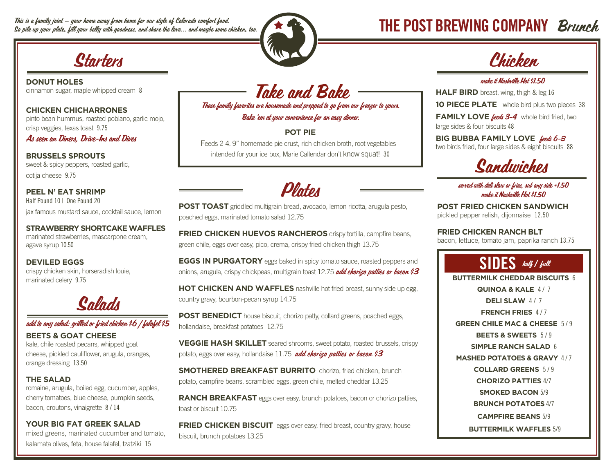This is a family joint — your home away from home for our style of Colorado comfort food. This is a family joint — your home away from home for our style of Colorado comfort food.<br>So pile up your plate, fill your belly with goodness, and share the love... and maybe some chicken, too. The was a serve the comput



**DONUT HOLES** cinnamon sugar, maple whipped cream 8

**CHICKEN CHICHARRONES** pinto bean hummus, roasted poblano, garlic mojo, crisp veggies, texas toast 9.75

As seen on Diners, Drive-Ins and Dives

**BRUSSELS SPROUTS** sweet & spicy peppers, roasted garlic, cotija cheese 9.75

**PEEL N' EAT SHRIMP** Half Pound 10 | One Pound 20 jax famous mustard sauce, cocktail sauce, lemon

**STRAWBERRY SHORTCAKE WAFFLES**  marinated strawberries, mascarpone cream, agave syrup 10.50

**DEVILED EGGS** crispy chicken skin, horseradish louie, marinated celery 9.75



### add to any salad: grilled or fried chicken \$6 | falafel \$5

**BEETS & GOAT CHEESE** kale, chile roasted pecans, whipped goat cheese, pickled cauliflower, arugula, oranges, orange dressing 13.50

#### **THE SALAD**

romaine, arugula, boiled egg, cucumber, apples, cherry tomatoes, blue cheese, pumpkin seeds, bacon, croutons, vinaigrette 8 / 14

#### **YOUR BIG FAT GREEK SALAD**

mixed greens, marinated cucumber and tomato, kalamata olives, feta, house falafel, tzatziki 15

Take and Bake These family favorites are housemade and prepped to go from our freezer to yours. Bake 'em at your convenience for an easy dinner.

**POT PIE**

Feeds 2-4. 9" homemade pie crust, rich chicken broth, root vegetables intended for your ice box, Marie Callendar don't know squat! 30



**POST TOAST** griddled multigrain bread, avocado, lemon ricotta, arugula pesto, poached eggs, marinated tomato salad 12.75

**FRIED CHICKEN HUEVOS RANCHEROS** crispy tortilla, campfire beans, green chile, eggs over easy, pico, crema, crispy fried chicken thigh 13.75

**EGGS IN PURGATORY** eggs baked in spicy tomato sauce, roasted peppers and onions, arugula, crispy chickpeas, multigrain toast 12.75 add chorizo patties or bacon \$3

**HOT CHICKEN AND WAFFLES** nashville hot fried breast, sunny side up egg, country gravy, bourbon-pecan syrup 14.75

**POST BENEDICT** house biscuit, chorizo patty, collard greens, poached eggs, hollandaise, breakfast potatoes 12.75

**VEGGIE HASH SKILLET** seared shrooms, sweet potato, roasted brussels, crispy potato, eggs over easy, hollandaise 11.75 *add chorizo patties or bacon* \$3

**SMOTHERED BREAKFAST BURRITO** chorizo, fried chicken, brunch potato, campfire beans, scrambled eggs, green chile, melted cheddar 13.25

**RANCH BREAKFAST** eggs over easy, brunch potatoes, bacon or chorizo patties, toast or biscuit 10.75

**FRIED CHICKEN BISCUIT** eggs over easy, fried breast, country gravy, house biscuit, brunch potatoes 13.25

#### make it Nashville Hot \$1.50

**HALF BIRD** breast, wing, thigh & leg 16

**10 PIECE PLATE** whole bird plus two pieces 38

FAMILY LOVE **feeds 3-4** whole bird fried, two large sides & four biscuits 48

**BIG BUBBA FAMILY LOVE** feeds 6-8 two birds fried, four large sides & eight biscuits 88



#### served with deli slaw or fries, sub any side +1.50 make it Nashville Hot \$1.50

**POST FRIED CHICKEN SANDWICH** pickled pepper relish, dijonnaise 12.50

**FRIED CHICKEN RANCH BLT** bacon, lettuce, tomato jam, paprika ranch 13.75

## SIDES half **/** full

**BUTTERMILK CHEDDAR BISCUITS** 6 **QUINOA & KALE 4/7 DELI SLAW 4/7 FRENCH FRIES** 4 / 7 **GREEN CHILE MAC & CHEESE** 5 / 9 **BEETS & SWEETS** 5 / 9 **SIMPLE RANCH SALAD** 6 **MASHED POTATOES & GRAVY 4/7 COLLARD GREENS** 5 / 9 **CHORIZO PATTIES** 4/7 **SMOKED BACON** 5/9 **BRUNCH POTATOES** 4/7 **CAMPFIRE BEANS** 5/9  **BUTTERMILK WAFFLES** 5/9